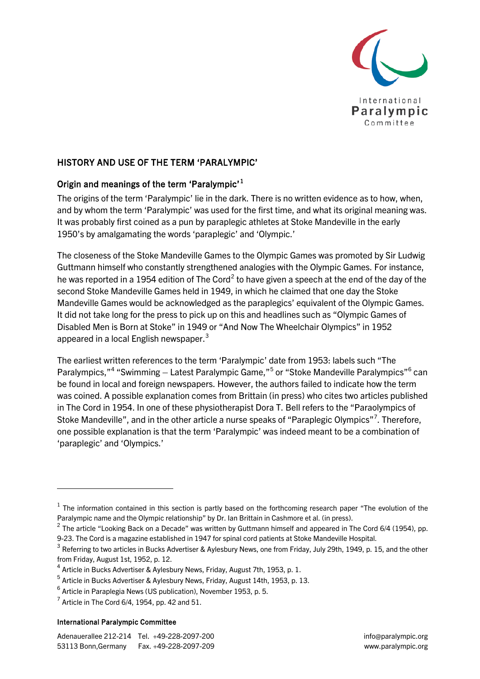

## HISTORY AND USE OF THE TERM 'PARALYMPIC'

## Origin and meanings of the term 'Paralympic'<sup>[1](#page-0-0)</sup>

The origins of the term 'Paralympic' lie in the dark. There is no written evidence as to how, when, and by whom the term 'Paralympic' was used for the first time, and what its original meaning was. It was probably first coined as a pun by paraplegic athletes at Stoke Mandeville in the early 1950's by amalgamating the words 'paraplegic' and 'Olympic.'

The closeness of the Stoke Mandeville Games to the Olympic Games was promoted by Sir Ludwig Guttmann himself who constantly strengthened analogies with the Olympic Games. For instance, he was reported in a 1954 edition of The Cord<sup>[2](#page-0-1)</sup> to have given a speech at the end of the day of the second Stoke Mandeville Games held in 1949, in which he claimed that one day the Stoke Mandeville Games would be acknowledged as the paraplegics' equivalent of the Olympic Games. It did not take long for the press to pick up on this and headlines such as "Olympic Games of Disabled Men is Born at Stoke" in 1949 or "And Now The Wheelchair Olympics" in 1952 appeared in a local English newspaper.<sup>[3](#page-0-2)</sup>

The earliest written references to the term 'Paralympic' date from 1953: labels such "The Paralympics,"<sup>[4](#page-0-3)</sup> "Swimming – Latest Paralympic Game,"<sup>[5](#page-0-4)</sup> or "Stoke Mandeville Paralympics"<sup>[6](#page-0-5)</sup> can be found in local and foreign newspapers. However, the authors failed to indicate how the term was coined. A possible explanation comes from Brittain (in press) who cites two articles published in The Cord in 1954. In one of these physiotherapist Dora T. Bell refers to the "Paraolympics of Stoke Mandeville", and in the other article a nurse speaks of "Paraplegic Olympics"<sup>[7](#page-0-6)</sup>. Therefore, one possible explanation is that the term 'Paralympic' was indeed meant to be a combination of 'paraplegic' and 'Olympics.'

## International Paralympic Committee

-

<span id="page-0-0"></span> $1$  The information contained in this section is partly based on the forthcoming research paper "The evolution of the Paralympic name and the Olympic relationship" by Dr. Ian Brittain in Cashmore et al. (in press).

<span id="page-0-1"></span> $2$  The article "Looking Back on a Decade" was written by Guttmann himself and appeared in The Cord 6/4 (1954), pp. 9-23. The Cord is a magazine established in 1947 for spinal cord patients at Stoke Mandeville Hospital.

<span id="page-0-2"></span><sup>&</sup>lt;sup>3</sup> Referring to two articles in Bucks Advertiser & Aylesbury News, one from Friday, July 29th, 1949, p. 15, and the other from Friday, August 1st, 1952, p. 12.

<span id="page-0-3"></span><sup>4</sup> Article in Bucks Advertiser & Aylesbury News, Friday, August 7th, 1953, p. 1.

<span id="page-0-4"></span><sup>5</sup> Article in Bucks Advertiser & Aylesbury News, Friday, August 14th, 1953, p. 13.

<span id="page-0-5"></span><sup>6</sup> Article in Paraplegia News (US publication), November 1953, p. 5.

<span id="page-0-6"></span> $^7$  Article in The Cord 6/4, 1954, pp. 42 and 51.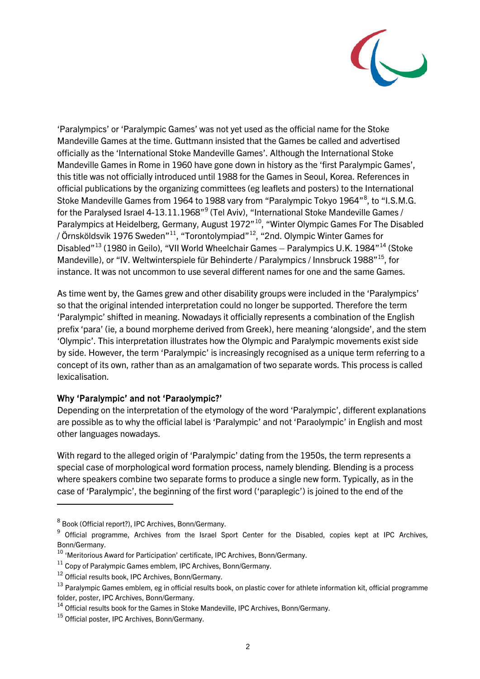

'Paralympics' or 'Paralympic Games' was not yet used as the official name for the Stoke Mandeville Games at the time. Guttmann insisted that the Games be called and advertised officially as the 'International Stoke Mandeville Games'. Although the International Stoke Mandeville Games in Rome in 1960 have gone down in history as the 'first Paralympic Games', this title was not officially introduced until 1988 for the Games in Seoul, Korea. References in official publications by the organizing committees (eg leaflets and posters) to the International Stoke Mandeville Games from 1964 to 19[8](#page-1-0)8 vary from "Paralympic Tokyo 1964"<sup>8</sup>, to "I.S.M.G. for the Paralysed Israel 4-13.11.1[9](#page-1-1)68"<sup>9</sup> (Tel Aviv), "International Stoke Mandeville Games / Paralympics at Heidelberg, Germany, August 1972"<sup>[10](#page-1-2)</sup>, "Winter Olympic Games For The Disabled / Örnsköldsvik 1976 Sweden"[11,](#page-1-3) "Torontolympiad"[12,](#page-1-4) "2nd. Olympic Winter Games for Disabled"<sup>[13](#page-1-5)</sup> (1980 in Geilo), "VII World Wheelchair Games – Paralympics U.K. 1984"<sup>[14](#page-1-6)</sup> (Stoke Mandeville), or "IV. Weltwinterspiele für Behinderte / Paralympics / Innsbruck 1988"<sup>15</sup>, for instance. It was not uncommon to use several different names for one and the same Games.

As time went by, the Games grew and other disability groups were included in the 'Paralympics' so that the original intended interpretation could no longer be supported. Therefore the term 'Paralympic' shifted in meaning. Nowadays it officially represents a combination of the English prefix 'para' (ie, a bound morpheme derived from Greek), here meaning 'alongside', and the stem 'Olympic'. This interpretation illustrates how the Olympic and Paralympic movements exist side by side. However, the term 'Paralympic' is increasingly recognised as a unique term referring to a concept of its own, rather than as an amalgamation of two separate words. This process is called lexicalisation.

## Why 'Paralympic' and not 'Paraolympic?'

Depending on the interpretation of the etymology of the word 'Paralympic', different explanations are possible as to why the official label is 'Paralympic' and not 'Paraolympic' in English and most other languages nowadays.

With regard to the alleged origin of 'Paralympic' dating from the 1950s, the term represents a special case of morphological word formation process, namely blending. Blending is a process where speakers combine two separate forms to produce a single new form. Typically, as in the case of 'Paralympic', the beginning of the first word ('paraplegic') is joined to the end of the

-

<span id="page-1-0"></span><sup>8</sup> Book (Official report?), IPC Archives, Bonn/Germany.

<span id="page-1-1"></span><sup>&</sup>lt;sup>9</sup> Official programme, Archives from the Israel Sport Center for the Disabled, copies kept at IPC Archives, Bonn/Germany.

<span id="page-1-2"></span><sup>&</sup>lt;sup>10</sup> 'Meritorious Award for Participation' certificate, IPC Archives, Bonn/Germany.

<span id="page-1-3"></span> $11$  Copy of Paralympic Games emblem, IPC Archives, Bonn/Germany.

<span id="page-1-4"></span><sup>&</sup>lt;sup>12</sup> Official results book, IPC Archives, Bonn/Germany.

<span id="page-1-5"></span><sup>&</sup>lt;sup>13</sup> Paralympic Games emblem, eg in official results book, on plastic cover for athlete information kit, official programme folder, poster, IPC Archives, Bonn/Germany.

<span id="page-1-6"></span> $14$  Official results book for the Games in Stoke Mandeville, IPC Archives, Bonn/Germany.

<span id="page-1-7"></span><sup>&</sup>lt;sup>15</sup> Official poster, IPC Archives, Bonn/Germany.